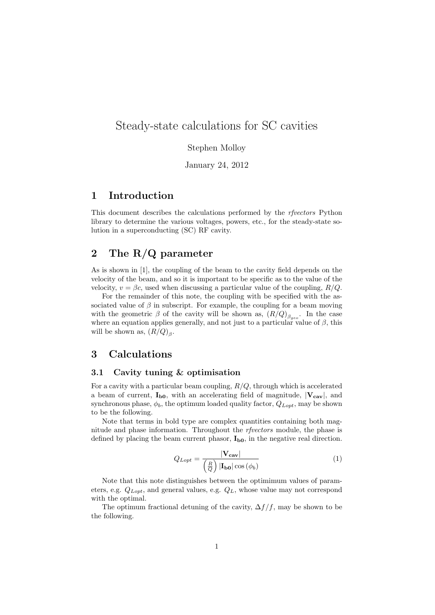# Steady-state calculations for SC cavities

### Stephen Molloy

January 24, 2012

## 1 Introduction

This document describes the calculations performed by the rfvectors Python library to determine the various voltages, powers, etc., for the steady-state solution in a superconducting (SC) RF cavity.

## 2 The R/Q parameter

As is shown in [1], the coupling of the beam to the cavity field depends on the velocity of the beam, and so it is important to be specific as to the value of the velocity,  $v = \beta c$ , used when discussing a particular value of the coupling,  $R/Q$ .

For the remainder of this note, the coupling with be specified with the associated value of  $\beta$  in subscript. For example, the coupling for a beam moving with the geometric  $\beta$  of the cavity will be shown as,  $(R/Q)_{\beta_{geo}}$ . In the case where an equation applies generally, and not just to a particular value of  $\beta$ , this will be shown as,  $(R/Q)_{\beta}$ .

## 3 Calculations

### 3.1 Cavity tuning & optimisation

For a cavity with a particular beam coupling,  $R/Q$ , through which is accelerated a beam of current,  $I_{b0}$ , with an accelerating field of magnitude,  $|V_{cav}|$ , and synchronous phase,  $\phi_b$ , the optimum loaded quality factor,  $Q_{Lopt}$ , may be shown to be the following.

Note that terms in bold type are complex quantities containing both magnitude and phase information. Throughout the *rfvectors* module, the phase is defined by placing the beam current phasor,  $I_{b0}$ , in the negative real direction.

$$
Q_{Lopt} = \frac{|\mathbf{V}_{\mathbf{cav}}|}{\left(\frac{R}{Q}\right)|\mathbf{I}_{\mathbf{b0}}|\cos(\phi_b)}\tag{1}
$$

Note that this note distinguishes between the optimimum values of parameters, e.g.  $Q_{Lopt}$ , and general values, e.g.  $Q_L$ , whose value may not correspond with the optimal.

The optimum fractional detuning of the cavity,  $\Delta f/f$ , may be shown to be the following.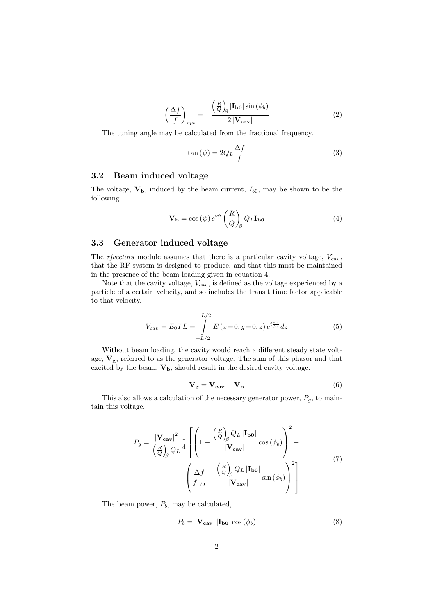$$
\left(\frac{\Delta f}{f}\right)_{opt} = -\frac{\left(\frac{R}{Q}\right)_{\beta}|\mathbf{I}_{\mathbf{b0}}|\sin(\phi_b)}{2|\mathbf{V}_{\mathbf{cav}}|}\tag{2}
$$

The tuning angle may be calculated from the fractional frequency.

$$
\tan\left(\psi\right) = 2Q_L \frac{\Delta f}{f} \tag{3}
$$

### 3.2 Beam induced voltage

The voltage,  $V_b$ , induced by the beam current,  $I_{b0}$ , may be shown to be the following.

$$
\mathbf{V}_{\mathbf{b}} = \cos(\psi) e^{i\psi} \left(\frac{R}{Q}\right)_{\beta} Q_L \mathbf{I}_{\mathbf{b}0}
$$
(4)

### 3.3 Generator induced voltage

The rfvectors module assumes that there is a particular cavity voltage,  $V_{cav}$ , that the RF system is designed to produce, and that this must be maintained in the presence of the beam loading given in equation 4.

Note that the cavity voltage,  $V_{cav}$ , is defined as the voltage experienced by a particle of a certain velocity, and so includes the transit time factor applicable to that velocity.

$$
V_{cav} = E_0 T L = \int_{-L/2}^{L/2} E(x=0, y=0, z) e^{i\frac{\omega z}{\beta c}} dz
$$
 (5)

Without beam loading, the cavity would reach a different steady state voltage,  $V_g$ , referred to as the generator voltage. The sum of this phasor and that excited by the beam,  $V_b$ , should result in the desired cavity voltage.

$$
V_g = V_{cav} - V_b \tag{6}
$$

This also allows a calculation of the necessary generator power,  $P_g$ , to maintain this voltage.

$$
P_g = \frac{|\mathbf{V}_{\mathbf{cav}}|^2}{\left(\frac{R}{Q}\right)_{\beta} Q_L} \frac{1}{4} \left[ \left( 1 + \frac{\left(\frac{R}{Q}\right)_{\beta} Q_L |\mathbf{I}_{\mathbf{b0}}|}{|\mathbf{V}_{\mathbf{cav}}|} \cos(\phi_b) \right)^2 + \left( \frac{\Delta f}{f_{1/2}} + \frac{\left(\frac{R}{Q}\right)_{\beta} Q_L |\mathbf{I}_{\mathbf{b0}}|}{|\mathbf{V}_{\mathbf{cav}}|} \sin(\phi_b) \right)^2 \right]
$$
(7)

The beam power,  $P_b$ , may be calculated,

$$
P_b = |\mathbf{V}_{\mathbf{cav}}| |\mathbf{I}_{\mathbf{b0}}| \cos (\phi_b)
$$
 (8)